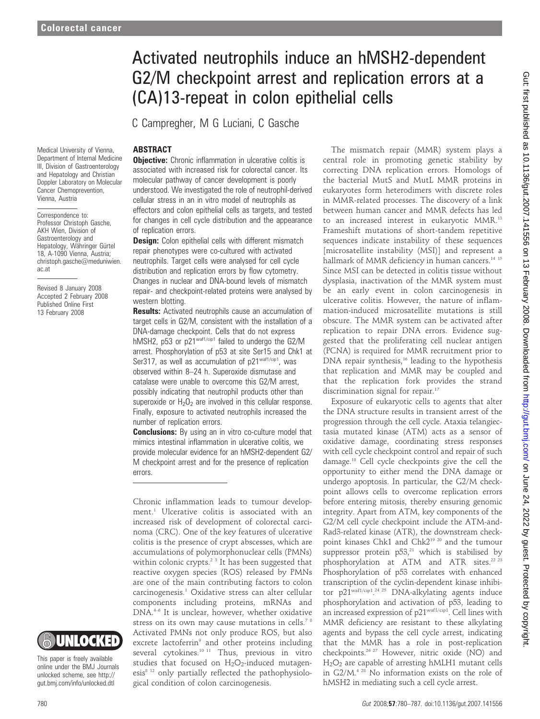# Activated neutrophils induce an hMSH2-dependent G2/M checkpoint arrest and replication errors at a (CA)13-repeat in colon epithelial cells

C Campregher, M G Luciani, C Gasche

# ABSTRACT

Medical University of Vienna, Department of Internal Medicine III, Division of Gastroenterology and Hepatology and Christian Doppler Laboratory on Molecular Cancer Chemoprevention, Vienna, Austria

Correspondence to: Professor Christoph Gasche, AKH Wien, Division of Gastroenterology and Hepatology, Währinger Gürtel 18, A-1090 Vienna, Austria; christoph.gasche@meduniwien. ac.at

Revised 8 January 2008 Accepted 2 February 2008 Published Online First 13 February 2008



This paper is freely available online under the BMJ Journals unlocked scheme, see http:// gut.bmj.com/info/unlocked.dtl

**Objective:** Chronic inflammation in ulcerative colitis is

associated with increased risk for colorectal cancer. Its molecular pathway of cancer development is poorly understood. We investigated the role of neutrophil-derived cellular stress in an in vitro model of neutrophils as effectors and colon epithelial cells as targets, and tested for changes in cell cycle distribution and the appearance of replication errors.

**Design:** Colon epithelial cells with different mismatch repair phenotypes were co-cultured with activated neutrophils. Target cells were analysed for cell cycle distribution and replication errors by flow cytometry. Changes in nuclear and DNA-bound levels of mismatch repair- and checkpoint-related proteins were analysed by western blotting.

**Results:** Activated neutrophils cause an accumulation of target cells in G2/M, consistent with the installation of a DNA-damage checkpoint. Cells that do not express hMSH2, p53 or p21<sup>waf1/cip1</sup> failed to undergo the G2/M arrest. Phosphorylation of p53 at site Ser15 and Chk1 at Ser317, as well as accumulation of p21waf1/cip1, was observed within 8–24 h. Superoxide dismutase and catalase were unable to overcome this G2/M arrest, possibly indicating that neutrophil products other than superoxide or  $H_2O_2$  are involved in this cellular response. Finally, exposure to activated neutrophils increased the number of replication errors.

**Conclusions:** By using an in vitro co-culture model that mimics intestinal inflammation in ulcerative colitis, we provide molecular evidence for an hMSH2-dependent G2/ M checkpoint arrest and for the presence of replication errors.

Chronic inflammation leads to tumour development.1 Ulcerative colitis is associated with an increased risk of development of colorectal carcinoma (CRC). One of the key features of ulcerative colitis is the presence of crypt abscesses, which are accumulations of polymorphonuclear cells (PMNs) within colonic crypts.2 3 It has been suggested that reactive oxygen species (ROS) released by PMNs are one of the main contributing factors to colon carcinogenesis.<sup>1</sup> Oxidative stress can alter cellular components including proteins, mRNAs and DNA.4–6 It is unclear, however, whether oxidative stress on its own may cause mutations in cells.<sup>78</sup> Activated PMNs not only produce ROS, but also excrete lactoferrin<sup>9</sup> and other proteins including several cytokines.<sup>10 11</sup> Thus, previous in vitro studies that focused on  $H_2O_2$ -induced mutagenesis<sup>8 12</sup> only partially reflected the pathophysiological condition of colon carcinogenesis.

The mismatch repair (MMR) system plays a central role in promoting genetic stability by correcting DNA replication errors. Homologs of the bacterial MutS and MutL MMR proteins in eukaryotes form heterodimers with discrete roles in MMR-related processes. The discovery of a link between human cancer and MMR defects has led to an increased interest in eukaryotic MMR.13 Frameshift mutations of short-tandem repetitive sequences indicate instability of these sequences [microsatellite instability (MSI)] and represent a hallmark of MMR deficiency in human cancers.<sup>14 15</sup> Since MSI can be detected in colitis tissue without dysplasia, inactivation of the MMR system must be an early event in colon carcinogenesis in ulcerative colitis. However, the nature of inflammation-induced microsatellite mutations is still obscure. The MMR system can be activated after replication to repair DNA errors. Evidence suggested that the proliferating cell nuclear antigen (PCNA) is required for MMR recruitment prior to DNA repair synthesis,<sup>16</sup> leading to the hypothesis that replication and MMR may be coupled and that the replication fork provides the strand discrimination signal for repair.<sup>17</sup>

Exposure of eukaryotic cells to agents that alter the DNA structure results in transient arrest of the progression through the cell cycle. Ataxia telangiectasia mutated kinase (ATM) acts as a sensor of oxidative damage, coordinating stress responses with cell cycle checkpoint control and repair of such damage.18 Cell cycle checkpoints give the cell the opportunity to either mend the DNA damage or undergo apoptosis. In particular, the G2/M checkpoint allows cells to overcome replication errors before entering mitosis, thereby ensuring genomic integrity. Apart from ATM, key components of the G2/M cell cycle checkpoint include the ATM-and-Rad3-related kinase (ATR), the downstream checkpoint kinases Chk1 and Chk219 20 and the tumour suppressor protein  $p53$ ,<sup>21</sup> which is stabilised by phosphorylation at ATM and ATR sites.<sup>22 23</sup> Phosphorylation of p53 correlates with enhanced transcription of the cyclin-dependent kinase inhibitor p21<sup>waf1/cip1</sup>.<sup>24 25</sup> DNA-alkylating agents induce phosphorylation and activation of p53, leading to an increased expression of p21waf1/cip1. Cell lines with MMR deficiency are resistant to these alkylating agents and bypass the cell cycle arrest, indicating that the MMR has a role in post-replication checkpoints.26 27 However, nitric oxide (NO) and  $H<sub>2</sub>O<sub>2</sub>$  are capable of arresting hMLH1 mutant cells in G2/M.4 28 No information exists on the role of hMSH2 in mediating such a cell cycle arrest.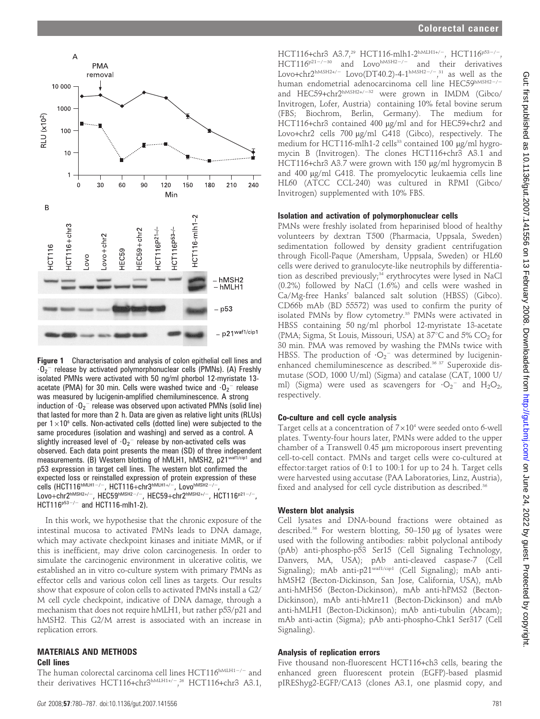

Figure 1 Characterisation and analysis of colon epithelial cell lines and  $\cdot 0_2$ <sup>-</sup> release by activated polymorphonuclear cells (PMNs). (A) Freshly isolated PMNs were activated with 50 ng/ml phorbol 12-myristate 13 acetate (PMA) for 30 min. Cells were washed twice and  $\cdot {\bf 0}_2^{-1}$  release was measured by lucigenin-amplified chemiluminescence. A strong induction of  $\cdot {\bf 0}_2^-$  release was observed upon activated PMNs (solid line) that lasted for more than 2 h. Data are given as relative light units (RLUs) per  $1\times10^6$  cells. Non-activated cells (dotted line) were subjected to the same procedures (isolation and washing) and served as a control. A slightly increased level of  $\cdot {\bf 0}_2^-$  release by non-activated cells was observed. Each data point presents the mean (SD) of three independent measurements. (B) Western blotting of hMLH1, hMSH2, p21waf1/cip1 and p53 expression in target cell lines. The western blot confirmed the expected loss or reinstalled expression of protein expression of these cells (HCT116<sup>hMLH1-/-</sup>, HCT116+chr3<sup>hMLH1+/-</sup>, Lovo<sup>hMSH2-/-</sup>,  $\mathsf{Love}+\mathsf{chr2}^{\mathsf{hMSH2+/-}}$ ,  $\mathsf{HEC59}^{\mathsf{hMSH2-/-}}$ ,  $\mathsf{HEC59+chr2}^{\mathsf{hMSH2+/-}}$ ,  $\mathsf{HCT116}^{\mathsf{p21-/-}}$ ,  $HCT116^{p53-/-}$  and  $HCT116-\text{m/h1-2}$ .

In this work, we hypothesise that the chronic exposure of the intestinal mucosa to activated PMNs leads to DNA damage, which may activate checkpoint kinases and initiate MMR, or if this is inefficient, may drive colon carcinogenesis. In order to simulate the carcinogenic environment in ulcerative colitis, we established an in vitro co-culture system with primary PMNs as effector cells and various colon cell lines as targets. Our results show that exposure of colon cells to activated PMNs install a G2/ M cell cycle checkpoint, indicative of DNA damage, through a mechanism that does not require hMLH1, but rather p53/p21 and hMSH2. This G2/M arrest is associated with an increase in replication errors.

#### MATERIALS AND METHODS Cell lines

The human colorectal carcinoma cell lines  $HCT116^{hMLH1-/-}$  and their derivatives HCT116+chr3hMLH1+/-36 HCT116+chr3 A3.1,

HCT116+chr3 A3.7,<sup>29</sup> HCT116-mlh1-2<sup>hMLH1+/-</sup>, HCT116<sup>p53-/-</sup>  $HCT116^{p21-/-30}$  and Lovo<sup>hMSH2-/-</sup> and their derivatives Lovo+chr2<sup>hMSH2+/-</sup> Lovo(DT40.2)-4-1<sup>hMSH2-/-</sup>,<sup>31</sup> as well as the human endometrial adenocarcinoma cell line HEC59hMSH2-/and HEC59+chr2<sup>hMSH2+/-32</sup> were grown in IMDM (Gibco/ Invitrogen, Lofer, Austria) containing 10% fetal bovine serum (FBS; Biochrom, Berlin, Germany). The medium for HCT116+chr3 contained 400 µg/ml and for HEC59+chr2 and Lovo+chr2 cells 700 µg/ml G418 (Gibco), respectively. The medium for HCT116-mlh1-2 cells<sup>33</sup> contained 100  $\mu$ g/ml hygromycin B (Invitrogen). The clones HCT116+chr3 A3.1 and HCT116+chr3 A3.7 were grown with 150 µg/ml hygromycin B and 400 µg/ml G418. The promyelocytic leukaemia cells line HL60 (ATCC CCL-240) was cultured in RPMI (Gibco/ Invitrogen) supplemented with 10% FBS.

#### Isolation and activation of polymorphonuclear cells

PMNs were freshly isolated from heparinised blood of healthy volunteers by dextran T500 (Pharmacia, Uppsala, Sweden) sedimentation followed by density gradient centrifugation through Ficoll-Paque (Amersham, Uppsala, Sweden) or HL60 cells were derived to granulocyte-like neutrophils by differentiation as described previously;<sup>34</sup> erythrocytes were lysed in NaCl (0.2%) followed by NaCl (1.6%) and cells were washed in Ca/Mg-free Hanks' balanced salt solution (HBSS) (Gibco). CD66b mAb (BD 55572) was used to confirm the purity of isolated PMNs by flow cytometry.<sup>35</sup> PMNs were activated in HBSS containing 50 ng/ml phorbol 12-myristate 13-acetate (PMA; Sigma, St Louis, Missouri, USA) at  $37^{\circ}$ C and  $5\%$  CO<sub>2</sub> for 30 min. PMA was removed by washing the PMNs twice with HBSS. The production of  $\cdot O_2$ <sup>-</sup> was determined by lucigeninenhanced chemiluminescence as described.<sup>36 37</sup> Superoxide dismutase (SOD, 1000 U/ml) (Sigma) and catalase (CAT, 1000 U/ ml) (Sigma) were used as scavengers for  $\cdot O_2$ <sup>-</sup> and  $H_2O_2$ , respectively.

#### Co-culture and cell cycle analysis

Target cells at a concentration of  $7\times10^4$  were seeded onto 6-well plates. Twenty-four hours later, PMNs were added to the upper chamber of a Transwell 0.45 µm microporous insert preventing cell-to-cell contact. PMNs and target cells were co-cultured at effector:target ratios of 0:1 to 100:1 for up to 24 h. Target cells were harvested using accutase (PAA Laboratories, Linz, Austria), fixed and analysed for cell cycle distribution as described.<sup>36</sup>

#### Western blot analysis

Cell lysates and DNA-bound fractions were obtained as described.<sup>36</sup> For western blotting, 50-150 µg of lysates were used with the following antibodies: rabbit polyclonal antibody (pAb) anti-phospho-p53 Ser15 (Cell Signaling Technology, Danvers, MA, USA); pAb anti-cleaved caspase-7 (Cell Signaling); mAb anti-p21<sup>waf1/cip1</sup> (Cell Signaling); mAb antihMSH2 (Becton-Dickinson, San Jose, California, USA), mAb anti-hMHS6 (Becton-Dickinson), mAb anti-hPMS2 (Becton-Dickinson), mAb anti-hMre11 (Becton-Dickinson) and mAb anti-hMLH1 (Becton-Dickinson); mAb anti-tubulin (Abcam); mAb anti-actin (Sigma); pAb anti-phospho-Chk1 Ser317 (Cell Signaling).

## Analysis of replication errors

Five thousand non-fluorescent HCT116+ch3 cells, bearing the enhanced green fluorescent protein (EGFP)-based plasmid pIREShyg2-EGFP/CA13 (clones A3.1, one plasmid copy, and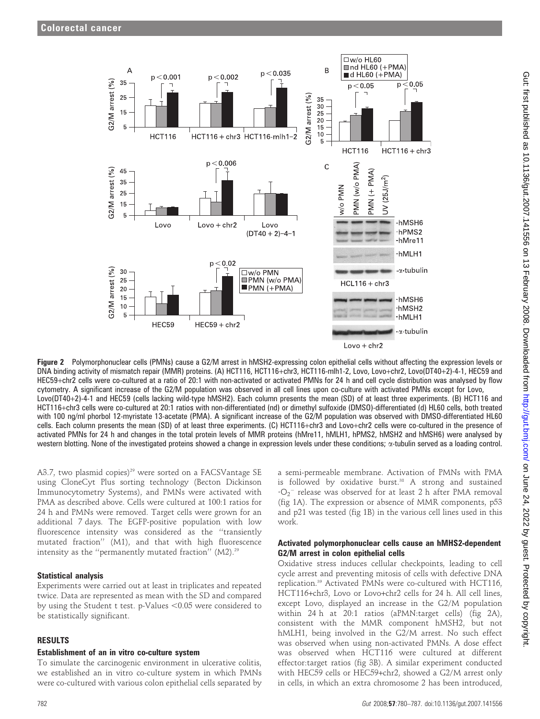

Figure 2 Polymorphonuclear cells (PMNs) cause a G2/M arrest in hMSH2-expressing colon epithelial cells without affecting the expression levels or DNA binding activity of mismatch repair (MMR) proteins. (A) HCT116, HCT116+chr3, HCT116-mlh1-2, Lovo, Lovo+chr2, Lovo(DT40+2)-4-1, HEC59 and HEC59+chr2 cells were co-cultured at a ratio of 20:1 with non-activated or activated PMNs for 24 h and cell cycle distribution was analysed by flow cytometry. A significant increase of the G2/M population was observed in all cell lines upon co-culture with activated PMNs except for Lovo, Lovo(DT40+2)-4-1 and HEC59 (cells lacking wild-type hMSH2). Each column presents the mean (SD) of at least three experiments. (B) HCT116 and HCT116+chr3 cells were co-cultured at 20:1 ratios with non-differentiated (nd) or dimethyl sulfoxide (DMSO)-differentiated (d) HL60 cells, both treated with 100 ng/ml phorbol 12-myristate 13-acetate (PMA). A significant increase of the G2/M population was observed with DMSO-differentiated HL60 cells. Each column presents the mean (SD) of at least three experiments. (C) HCT116+chr3 and Lovo+chr2 cells were co-cultured in the presence of activated PMNs for 24 h and changes in the total protein levels of MMR proteins (hMre11, hMLH1, hPMS2, hMSH2 and hMSH6) were analysed by western blotting. None of the investigated proteins showed a change in expression levels under these conditions;  $\alpha$ -tubulin served as a loading control.

A3.7, two plasmid copies)<sup>29</sup> were sorted on a FACSVantage SE using CloneCyt Plus sorting technology (Becton Dickinson Immunocytometry Systems), and PMNs were activated with PMA as described above. Cells were cultured at 100:1 ratios for 24 h and PMNs were removed. Target cells were grown for an additional 7 days. The EGFP-positive population with low fluorescence intensity was considered as the ''transiently mutated fraction'' (M1), and that with high fluorescence intensity as the "permanently mutated fraction" (M2).<sup>29</sup>

# Statistical analysis

Experiments were carried out at least in triplicates and repeated twice. Data are represented as mean with the SD and compared by using the Student  $t$  test. p-Values  $< 0.05$  were considered to be statistically significant.

# RESULTS

## Establishment of an in vitro co-culture system

To simulate the carcinogenic environment in ulcerative colitis, we established an in vitro co-culture system in which PMNs were co-cultured with various colon epithelial cells separated by a semi-permeable membrane. Activation of PMNs with PMA is followed by oxidative burst.<sup>38</sup> A strong and sustained  $\cdot$ O<sub>2</sub><sup>-</sup> release was observed for at least 2 h after PMA removal (fig 1A). The expression or absence of MMR components, p53 and p21 was tested (fig 1B) in the various cell lines used in this work.

## Activated polymorphonuclear cells cause an hMHS2-dependent G2/M arrest in colon epithelial cells

Oxidative stress induces cellular checkpoints, leading to cell cycle arrest and preventing mitosis of cells with defective DNA replication.39 Activated PMNs were co-cultured with HCT116, HCT116+chr3, Lovo or Lovo+chr2 cells for 24 h. All cell lines, except Lovo, displayed an increase in the G2/M population within 24 h at 20:1 ratios (aPMN:target cells) (fig 2A), consistent with the MMR component hMSH2, but not hMLH1, being involved in the G2/M arrest. No such effect was observed when using non-activated PMNs. A dose effect was observed when HCT116 were cultured at different effector:target ratios (fig 3B). A similar experiment conducted with HEC59 cells or HEC59+chr2, showed a G2/M arrest only in cells, in which an extra chromosome 2 has been introduced,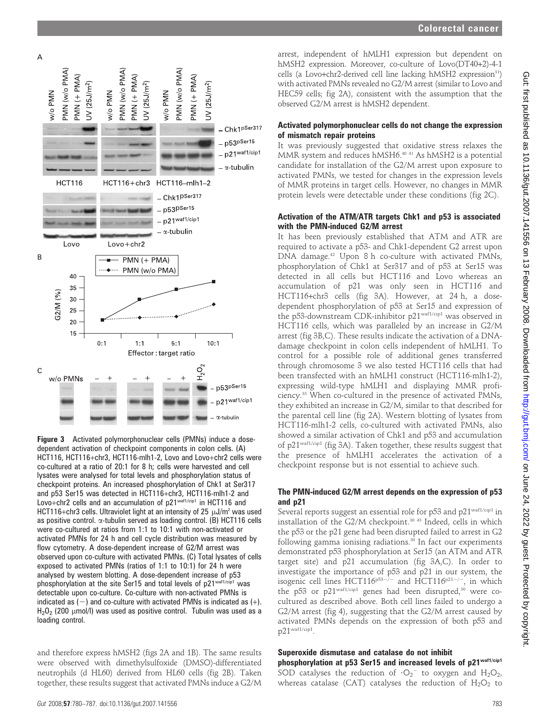

Figure 3 Activated polymorphonuclear cells (PMNs) induce a dosedependent activation of checkpoint components in colon cells. (A) HCT116, HCT116+chr3, HCT116-mlh1-2, Lovo and Lovo+chr2 cells were co-cultured at a ratio of 20:1 for 8 h; cells were harvested and cell lysates were analysed for total levels and phosphorylation status of checkpoint proteins. An increased phosphorylation of Chk1 at Ser317 and p53 Ser15 was detected in HCT116+chr3, HCT116-mlh1-2 and Lovo+chr2 cells and an accumulation of p21waf1/cip1 in HCT116 and HCT116+chr3 cells. Ultraviolet light at an intensity of 25  $\mu$ J/m<sup>2</sup> was used as positive control.  $\alpha$ -tubulin served as loading control. (B) HCT116 cells were co-cultured at ratios from 1:1 to 10:1 with non-activated or activated PMNs for 24 h and cell cycle distribution was measured by flow cytometry. A dose-dependent increase of G2/M arrest was observed upon co-culture with activated PMNs. (C) Total lysates of cells exposed to activated PMNs (ratios of 1:1 to 10:1) for 24 h were analysed by western blotting. A dose-dependent increase of p53 phosphorylation at the site Ser15 and total levels of p21waf1/cip1 was detectable upon co-culture. Co-culture with non-activated PMNs is indicated as  $(-)$  and co-culture with activated PMNs is indicated as  $(+)$ .  $H<sub>2</sub>O<sub>2</sub>$  (200 µmol/l) was used as positive control. Tubulin was used as a loading control.

and therefore express hMSH2 (figs 2A and 1B). The same results were observed with dimethylsulfoxide (DMSO)-differentiated neutrophils (d HL60) derived from HL60 cells (fig 2B). Taken together, these results suggest that activated PMNs induce a G2/M

arrest, independent of hMLH1 expression but dependent on hMSH2 expression. Moreover, co-culture of Lovo(DT40+2)-4-1 cells (a Lovo+chr2-derived cell line lacking  $hMSH2$  expression<sup>31</sup>) with activated PMNs revealed no G2/M arrest (similar to Lovo and HEC59 cells; fig 2A), consistent with the assumption that the observed G2/M arrest is hMSH2 dependent.

## Activated polymorphonuclear cells do not change the expression of mismatch repair proteins

It was previously suggested that oxidative stress relaxes the MMR system and reduces hMSH6.40 41 As hMSH2 is a potential candidate for installation of the G2/M arrest upon exposure to activated PMNs, we tested for changes in the expression levels of MMR proteins in target cells. However, no changes in MMR protein levels were detectable under these conditions (fig 2C).

## Activation of the ATM/ATR targets Chk1 and p53 is associated with the PMN-induced G2/M arrest

It has been previously established that ATM and ATR are required to activate a p53- and Chk1-dependent G2 arrest upon DNA damage.<sup>42</sup> Upon 8 h co-culture with activated PMNs, phosphorylation of Chk1 at Ser317 and of p53 at Ser15 was detected in all cells but HCT116 and Lovo whereas an accumulation of p21 was only seen in HCT116 and HCT116+chr3 cells (fig 3A). However, at 24 h, a dosedependent phosphorylation of p53 at Ser15 and expression of the p53-downstream CDK-inhibitor p21<sup>waf1/cip1</sup> was observed in HCT116 cells, which was paralleled by an increase in G2/M arrest (fig 3B,C). These results indicate the activation of a DNAdamage checkpoint in colon cells independent of hMLH1. To control for a possible role of additional genes transferred through chromosome 3 we also tested HCT116 cells that had been transfected with an hMLH1 construct (HCT116-mlh1-2), expressing wild-type hMLH1 and displaying MMR proficiency.33 When co-cultured in the presence of activated PMNs, they exhibited an increase in G2/M, similar to that described for the parental cell line (fig 2A). Western blotting of lysates from HCT116-mlh1-2 cells, co-cultured with activated PMNs, also showed a similar activation of Chk1 and p53 and accumulation of p21waf1/cip1 (fig 3A). Taken together, these results suggest that the presence of hMLH1 accelerates the activation of a checkpoint response but is not essential to achieve such.

## The PMN-induced G2/M arrest depends on the expression of p53 and p21

Several reports suggest an essential role for p53 and p21waf1/cip1 in installation of the  $G2/M$  checkpoint.<sup>30 43</sup> Indeed, cells in which the p53 or the p21 gene had been disrupted failed to arrest in G2 following gamma ionising radiations.<sup>30</sup> In fact our experiments demonstrated p53 phosphorylation at Ser15 (an ATM and ATR target site) and p21 accumulation (fig 3A,C). In order to investigate the importance of p53 and p21 in our system, the isogenic cell lines  $HCT116^{p53-j}$  and  $HCT116^{p21-j}$ , in which the p53 or  $p21^{\text{waf1/cip1}}$  genes had been disrupted,<sup>30</sup> were cocultured as described above. Both cell lines failed to undergo a G2/M arrest (fig 4), suggesting that the G2/M arrest caused by activated PMNs depends on the expression of both p53 and p21waf1/cip1.

#### Superoxide dismutase and catalase do not inhibit phosphorylation at p53 Ser15 and increased levels of p21waf1/cip1

SOD catalyses the reduction of  $\cdot O_2$ <sup>-</sup> to oxygen and H<sub>2</sub>O<sub>2</sub>, whereas catalase (CAT) catalyses the reduction of  $H_2O_2$  to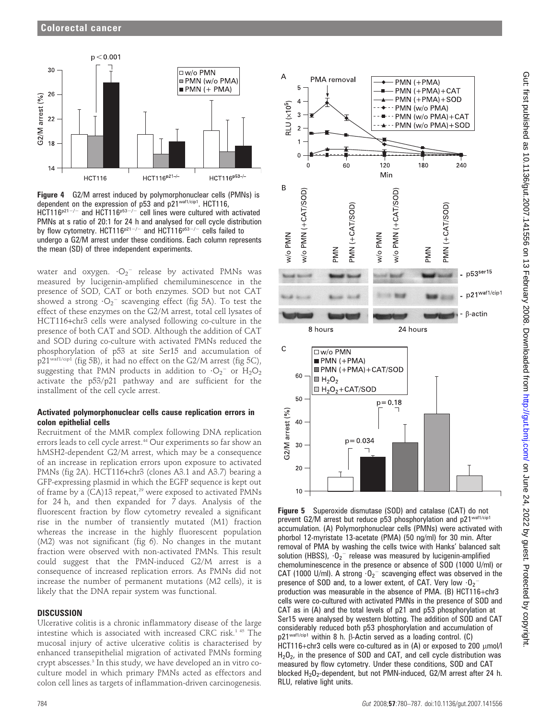

Figure 4 G2/M arrest induced by polymorphonuclear cells (PMNs) is dependent on the expression of p53 and p21waf1/cip1. HCT116,  $HCT116<sub>p21</sub>-/-$  and  $HCT116<sub>p53</sub>-/-$  cell lines were cultured with activated PMNs at s ratio of 20:1 for 24 h and analysed for cell cycle distribution by flow cytometry. HCT116<sup>p21-/-</sup> and HCT116<sup>p53-/-</sup> cells failed to undergo a G2/M arrest under these conditions. Each column represents the mean (SD) of three independent experiments.

water and oxygen.  $\cdot O_2^-$  release by activated PMNs was measured by lucigenin-amplified chemiluminescence in the presence of SOD, CAT or both enzymes. SOD but not CAT showed a strong  $\cdot O_2^-$  scavenging effect (fig 5A). To test the effect of these enzymes on the G2/M arrest, total cell lysates of HCT116+chr3 cells were analysed following co-culture in the presence of both CAT and SOD. Although the addition of CAT and SOD during co-culture with activated PMNs reduced the phosphorylation of p53 at site Ser15 and accumulation of p21<sup>waf1/cip1</sup> (fig 5B), it had no effect on the G2/M arrest (fig 5C), suggesting that PMN products in addition to  $\cdot O_2$ <sup>-</sup> or  $\mathrm{H}_2\mathrm{O}_2$ activate the p53/p21 pathway and are sufficient for the installment of the cell cycle arrest.

# Activated polymorphonuclear cells cause replication errors in colon epithelial cells

Recruitment of the MMR complex following DNA replication errors leads to cell cycle arrest.<sup>44</sup> Our experiments so far show an hMSH2-dependent G2/M arrest, which may be a consequence of an increase in replication errors upon exposure to activated PMNs (fig 2A). HCT116+chr3 (clones A3.1 and A3.7) bearing a GFP-expressing plasmid in which the EGFP sequence is kept out of frame by a (CA)13 repeat,<sup>29</sup> were exposed to activated PMNs for 24 h, and then expanded for 7 days. Analysis of the fluorescent fraction by flow cytometry revealed a significant rise in the number of transiently mutated (M1) fraction whereas the increase in the highly fluorescent population (M2) was not significant (fig 6). No changes in the mutant fraction were observed with non-activated PMNs. This result could suggest that the PMN-induced G2/M arrest is a consequence of increased replication errors. As PMNs did not increase the number of permanent mutations (M2 cells), it is likely that the DNA repair system was functional.

# **DISCUSSION**

Ulcerative colitis is a chronic inflammatory disease of the large intestine which is associated with increased CRC risk.1 45 The mucosal injury of active ulcerative colitis is characterised by enhanced transepithelial migration of activated PMNs forming crypt abscesses.<sup>3</sup> In this study, we have developed an in vitro coculture model in which primary PMNs acted as effectors and colon cell lines as targets of inflammation-driven carcinogenesis.



Figure 5 Superoxide dismutase (SOD) and catalase (CAT) do not prevent G2/M arrest but reduce p53 phosphorylation and p21waf1/cip1 accumulation. (A) Polymorphonuclear cells (PMNs) were activated with phorbol 12-myristate 13-acetate (PMA) (50 ng/ml) for 30 min. After removal of PMA by washing the cells twice with Hanks' balanced salt solution (HBSS),  $\cdot 0_2^-$  release was measured by lucigenin-amplified chemoluminescence in the presence or absence of SOD (1000 U/ml) or CAT (1000 U/ml). A strong  $\cdot 0_2^-$  scavenging effect was observed in the presence of SOD and, to a lower extent, of CAT. Very low  $\cdot 0_2$ <sup>-</sup> production was measurable in the absence of PMA. (B) HCT116+chr3 cells were co-cultured with activated PMNs in the presence of SOD and CAT as in (A) and the total levels of p21 and p53 phosphorylation at Ser15 were analysed by western blotting. The addition of SOD and CAT considerably reduced both p53 phosphorylation and accumulation of p21<sup>waf1/cip1</sup> within 8 h.  $\beta$ -Actin served as a loading control. (C) HCT116+chr3 cells were co-cultured as in  $(A)$  or exposed to 200  $\mu$ mol/l  $H<sub>2</sub>O<sub>2</sub>$ , in the presence of SOD and CAT, and cell cycle distribution was measured by flow cytometry. Under these conditions, SOD and CAT blocked  $H_2O_2$ -dependent, but not PMN-induced, G2/M arrest after 24 h. RLU, relative light units.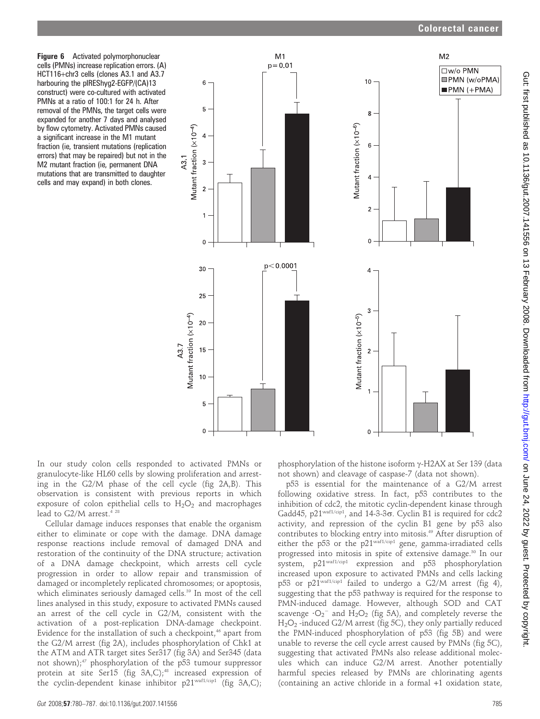Figure 6 Activated polymorphonuclear cells (PMNs) increase replication errors. (A) HCT116+chr3 cells (clones A3.1 and A3.7 harbouring the pIREShyg2-EGFP/(CA)13 construct) were co-cultured with activated PMNs at a ratio of 100:1 for 24 h. After removal of the PMNs, the target cells were expanded for another 7 days and analysed by flow cytometry. Activated PMNs caused a significant increase in the M1 mutant fraction (ie, transient mutations (replication errors) that may be repaired) but not in the M2 mutant fraction (ie, permanent DNA mutations that are transmitted to daughter cells and may expand) in both clones.



In our study colon cells responded to activated PMNs or granulocyte-like HL60 cells by slowing proliferation and arresting in the G2/M phase of the cell cycle (fig 2A,B). This observation is consistent with previous reports in which exposure of colon epithelial cells to  $H_2O_2$  and macrophages lead to G2/M arrest.<sup>4 28</sup>

Cellular damage induces responses that enable the organism either to eliminate or cope with the damage. DNA damage response reactions include removal of damaged DNA and restoration of the continuity of the DNA structure; activation of a DNA damage checkpoint, which arrests cell cycle progression in order to allow repair and transmission of damaged or incompletely replicated chromosomes; or apoptosis, which eliminates seriously damaged cells.<sup>39</sup> In most of the cell lines analysed in this study, exposure to activated PMNs caused an arrest of the cell cycle in G2/M, consistent with the activation of a post-replication DNA-damage checkpoint. Evidence for the installation of such a checkpoint, $46$  apart from the G2/M arrest (fig 2A), includes phosphorylation of Chk1 at the ATM and ATR target sites Ser317 (fig 3A) and Ser345 (data not shown);<sup>47</sup> phosphorylation of the p53 tumour suppressor protein at site Ser15 (fig  $3A,C$ );<sup>48</sup> increased expression of the cyclin-dependent kinase inhibitor p21waf1/cip1 (fig 3A,C);

phosphorylation of the histone isoform  $\gamma$ -H2AX at Ser 139 (data not shown) and cleavage of caspase-7 (data not shown).

p53 is essential for the maintenance of a G2/M arrest following oxidative stress. In fact, p53 contributes to the inhibition of cdc2, the mitotic cyclin-dependent kinase through Gadd45,  $p21^{\text{wafl/cip1}}$ , and  $14-3-3\sigma$ . Cyclin B1 is required for cdc2 activity, and repression of the cyclin B1 gene by p53 also contributes to blocking entry into mitosis.49 After disruption of either the p53 or the p21waf1/cip1 gene, gamma-irradiated cells progressed into mitosis in spite of extensive damage.30 In our system, p21waf1/cip1 expression and p53 phosphorylation increased upon exposure to activated PMNs and cells lacking p53 or p21waf1/cip1 failed to undergo a G2/M arrest (fig 4), suggesting that the p53 pathway is required for the response to PMN-induced damage. However, although SOD and CAT scavenge  $\cdot O_2$ <sup>-</sup> and H<sub>2</sub>O<sub>2</sub> (fig 5A), and completely reverse the  $H_2O_2$ -induced G2/M arrest (fig 5C), they only partially reduced the PMN-induced phosphorylation of p53 (fig 5B) and were unable to reverse the cell cycle arrest caused by PMNs (fig 5C), suggesting that activated PMNs also release additional molecules which can induce G2/M arrest. Another potentially harmful species released by PMNs are chlorinating agents (containing an active chloride in a formal +1 oxidation state,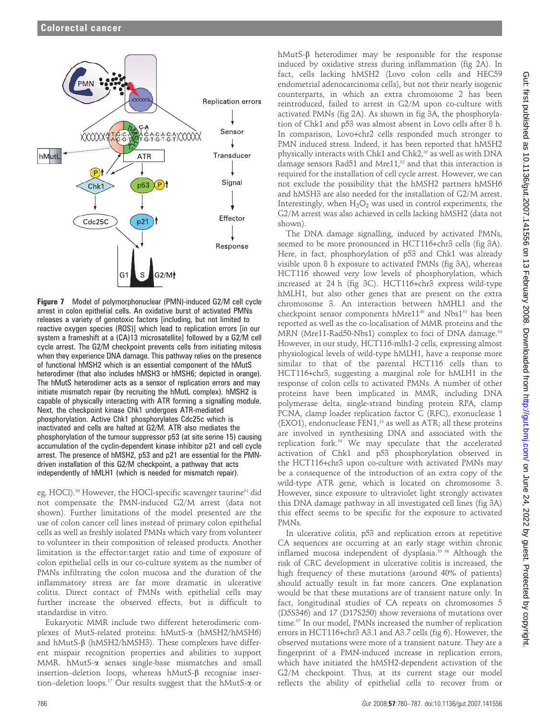

Figure 7 Model of polymorphonuclear (PMN)-induced G2/M cell cycle arrest in colon epithelial cells. An oxidative burst of activated PMNs releases a variety of genotoxic factors [including, but not limited to reactive oxygen species (ROS)] which lead to replication errors [in our system a frameshift at a (CA)13 microsatellite] followed by a G2/M cell cycle arrest. The G2/M checkpoint prevents cells from initiating mitosis when they experience DNA damage. This pathway relies on the presence of functional hMSH2 which is an essential component of the hMutS heterodimer (that also includes hMSH3 or hMSH6; depicted in orange). The hMutS heterodimer acts as a sensor of replication errors and may initiate mismatch repair (by recruiting the hMutL complex). hMSH2 is capable of physically interacting with ATR forming a signalling module. Next, the checkpoint kinase Chk1 undergoes ATR-mediated phosphorylation. Active Chk1 phosphorylates Cdc25c which is inactivated and cells are halted at G2/M. ATR also mediates the phosphorylation of the tumour suppressor p53 (at site serine 15) causing accumulation of the cyclin-dependent kinase inhibitor p21 and cell cycle arrest. The presence of hMSH2, p53 and p21 are essential for the PMNdriven installation of this G2/M checkpoint, a pathway that acts independently of hMLH1 (which is needed for mismatch repair).

eg, HOCl).<sup>50</sup> However, the HOCl-specific scavenger taurine<sup>51</sup> did not compensate the PMN-induced G2/M arrest (data not shown). Further limitations of the model presented are the use of colon cancer cell lines instead of primary colon epithelial cells as well as freshly isolated PMNs which vary from volunteer to volunteer in their composition of released products. Another limitation is the effector:target ratio and time of exposure of colon epithelial cells in our co-culture system as the number of PMNs infiltrating the colon mucosa and the duration of the inflammatory stress are far more dramatic in ulcerative colitis. Direct contact of PMNs with epithelial cells may further increase the observed effects, but is difficult to standardise in vitro.

Eukaryotic MMR include two different heterodimeric complexes of MutS-related proteins: hMutS-a (hMSH2/hMSH6) and  $hMutS-B$  ( $hMSH2/hMSH3$ ). These complexes have different mispair recognition properties and abilities to support MMR. hMutS-a senses single-base mismatches and small insertion–deletion loops, whereas  $hMutS-\beta$  recognise insertion–deletion loops.<sup>17</sup> Our results suggest that the hMutS- $\alpha$  or hMutS- $\beta$  heterodimer may be responsible for the response induced by oxidative stress during inflammation (fig 2A). In fact, cells lacking hMSH2 (Lovo colon cells and HEC59 endometrial adenocarcinoma cells), but not their nearly isogenic counterparts, in which an extra chromosome 2 has been reintroduced, failed to arrest in G2/M upon co-culture with activated PMNs (fig 2A). As shown in fig 3A, the phosphorylation of Chk1 and p53 was almost absent in Lovo cells after 8 h. In comparison, Lovo+chr2 cells responded much stronger to PMN induced stress. Indeed, it has been reported that hMSH2 physically interacts with Chk1 and Chk2,<sup>35</sup> as well as with DNA damage sensors Rad51 and Mre11, $52$  and that this interaction is required for the installation of cell cycle arrest. However, we can not exclude the possibility that the hMSH2 partners hMSH6 and hMSH3 are also needed for the installation of G2/M arrest. Interestingly, when  $H_2O_2$  was used in control experiments, the G2/M arrest was also achieved in cells lacking hMSH2 (data not shown).

The DNA damage signalling, induced by activated PMNs, seemed to be more pronounced in HCT116+chr3 cells (fig 3A). Here, in fact, phosphorylation of p53 and Chk1 was already visible upon 8 h exposure to activated PMNs (fig 3A), whereas HCT116 showed very low levels of phosphorylation, which increased at 24 h (fig 3C). HCT116+chr3 express wild-type hMLH1, but also other genes that are present on the extra chromosome 3. An interaction between hMHL1 and the checkpoint sensor components hMre11<sup>40</sup> and Nbs1<sup>53</sup> has been reported as well as the co-localisation of MMR proteins and the MRN (Mre11-Rad50-Nbs1) complex to foci of DNA damage.<sup>53</sup> However, in our study, HCT116-mlh1-2 cells, expressing almost physiological levels of wild-type hMLH1, have a response more similar to that of the parental HCT116 cells than to HCT116+chr3, suggesting a marginal role for hMLH1 in the response of colon cells to activated PMNs. A number of other proteins have been implicated in MMR, including DNA polymerase delta, single-strand binding protein RPA, clamp PCNA, clamp loader replication factor C (RFC), exonuclease 1 (EXO1), endonuclease FEN1,<sup>13</sup> as well as ATR; all these proteins are involved in synthesising DNA and associated with the replication fork.54 We may speculate that the accelerated activation of Chk1 and p53 phosphorylation observed in the HCT116+chr3 upon co-culture with activated PMNs may be a consequence of the introduction of an extra copy of the wild-type ATR gene, which is located on chromosome 3. However, since exposure to ultraviolet light strongly activates this DNA damage pathway in all investigated cell lines (fig 3A) this effect seems to be specific for the exposure to activated PMNs.

In ulcerative colitis, p53 and replication errors at repetitive CA sequences are occurring at an early stage within chronic inflamed mucosa independent of dysplasia.55 56 Although the risk of CRC development in ulcerative colitis is increased, the high frequency of these mutations (around 40% of patients) should actually result in far more cancers. One explanation would be that these mutations are of transient nature only. In fact, longitudinal studies of CA repeats on chromosomes 5 (D5S346) and 17 (D17S250) show reversions of mutations over time.57 In our model, PMNs increased the number of replication errors in HCT116+chr3 A3.1 and A3.7 cells (fig 6). However, the observed mutations were more of a transient nature. They are a fingerprint of a PMN-induced increase in replication errors, which have initiated the hMSH2-dependent activation of the G2/M checkpoint. Thus, at its current stage our model reflects the ability of epithelial cells to recover from or